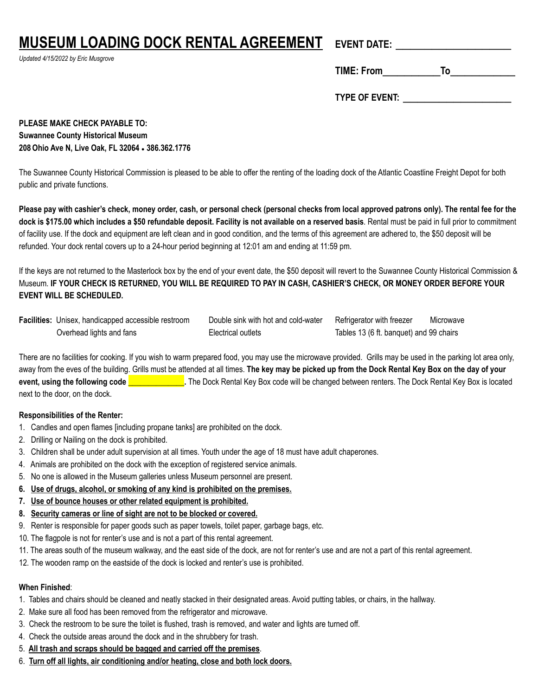# **MUSEUM LOADING DOCK RENTAL AGREEMENT**

*Updated 4/15/2022 by Eric Musgrove*

| − |  |
|---|--|
|   |  |
|   |  |

**TIME: From\_\_\_\_\_\_\_\_To\_\_\_\_\_\_\_\_\_**

**TYPE OF EVENT:** \_\_\_\_\_\_\_\_\_\_\_\_\_\_\_

**PLEASE MAKE CHECK PAYABLE TO: Suwannee County Historical Museum 208Ohio Ave N, Live Oak, FL 32064** ● **386.362.1776**

The Suwannee County Historical Commission is pleased to be able to offer the renting of the loading dock of the Atlantic Coastline Freight Depot for both public and private functions.

Please pay with cashier's check, money order, cash, or personal check (personal checks from local approved patrons only). The rental fee for the **dock is \$175.00 which includes a \$50 refundable deposit. Facility is not available on a reserved basis**. Rental must be paid in full prior to commitment of facility use. If the dock and equipment are left clean and in good condition, and the terms of this agreement are adhered to, the \$50 deposit will be refunded. Your dock rental covers up to a 24-hour period beginning at 12:01 am and ending at 11:59 pm.

If the keys are not returned to the Masterlock box by the end of your event date, the \$50 deposit will revert to the Suwannee County Historical Commission & Museum. **IF YOUR CHECK IS RETURNED, YOU WILL BE REQUIRED TO PAY IN CASH, CASHIER'S CHECK, OR MONEY ORDER BEFORE YOUR EVENT WILL BE SCHEDULED.**

**Facilities:** Unisex, handicapped accessible restroom Double sink with hot and cold-water Refrigerator with freezer Microwave Overhead lights and fans Electrical outlets Tables 13 (6 ft. banquet) and 99 chairs

There are no facilities for cooking. If you wish to warm prepared food, you may use the microwave provided. Grills may be used in the parking lot area only, away from the eves of the building. Grills must be attended at all times. **The key may be picked up from the Dock Rental Key Box on the day of your**  event, using the following code **contain the Sock Cental Key Box code will be changed between renters. The Dock Rental Key Box is located** next to the door, on the dock.

## **Responsibilities of the Renter:**

- 1. Candles and open flames [including propane tanks] are prohibited on the dock.
- 2. Drilling or Nailing on the dock is prohibited.
- 3. Children shall be under adult supervision at all times. Youth under the age of 18 must have adult chaperones.
- 4. Animals are prohibited on the dock with the exception of registered service animals.
- 5. No one is allowed in the Museum galleries unless Museum personnel are present.
- **6. Use of drugs, alcohol, or smoking of any kind is prohibited on the premises.**
- **7. Use of bounce houses or other related equipment is prohibited.**
- **8. Security cameras or line of sight are not to be blocked or covered.**
- 9. Renter is responsible for paper goods such as paper towels, toilet paper, garbage bags, etc.
- 10. The flagpole is not for renter's use and is not a part of this rental agreement.
- 11. The areas south of the museum walkway, and the east side of the dock, are not for renter's use and are not a part of this rental agreement.
- 12. The wooden ramp on the eastside of the dock is locked and renter's use is prohibited.

## **When Finished**:

- 1. Tables and chairs should be cleaned and neatly stacked in their designated areas. Avoid putting tables, or chairs, in the hallway.
- 2. Make sure all food has been removed from the refrigerator and microwave.
- 3. Check the restroom to be sure the toilet is flushed, trash is removed, and water and lights are turned off.
- 4. Check the outside areas around the dock and in the shrubbery for trash.
- 5. **All trash and scraps should be bagged and carried off the premises**.
- 6. **Turn off all lights, air conditioning and/or heating, close and both lock doors.**